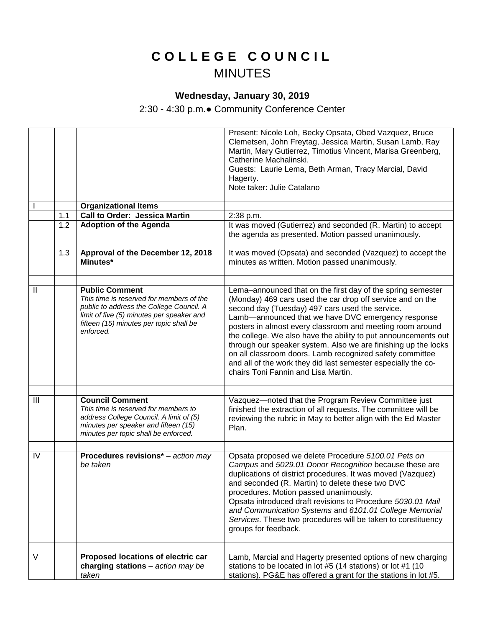## **C O L L E G E C O U N C I L** MINUTES

## **Wednesday, January 30, 2019**

2:30 - 4:30 p.m.● Community Conference Center

|                |     |                                                                                                                                                                                                                    | Present: Nicole Loh, Becky Opsata, Obed Vazquez, Bruce<br>Clemetsen, John Freytag, Jessica Martin, Susan Lamb, Ray<br>Martin, Mary Gutierrez, Timotius Vincent, Marisa Greenberg,<br>Catherine Machalinski.<br>Guests: Laurie Lema, Beth Arman, Tracy Marcial, David<br>Hagerty.<br>Note taker: Julie Catalano                                                                                                                                                                                                                                                                                          |
|----------------|-----|--------------------------------------------------------------------------------------------------------------------------------------------------------------------------------------------------------------------|---------------------------------------------------------------------------------------------------------------------------------------------------------------------------------------------------------------------------------------------------------------------------------------------------------------------------------------------------------------------------------------------------------------------------------------------------------------------------------------------------------------------------------------------------------------------------------------------------------|
|                |     | <b>Organizational Items</b>                                                                                                                                                                                        |                                                                                                                                                                                                                                                                                                                                                                                                                                                                                                                                                                                                         |
|                | 1.1 | <b>Call to Order: Jessica Martin</b>                                                                                                                                                                               | 2:38 p.m.                                                                                                                                                                                                                                                                                                                                                                                                                                                                                                                                                                                               |
|                | 1.2 | <b>Adoption of the Agenda</b>                                                                                                                                                                                      | It was moved (Gutierrez) and seconded (R. Martin) to accept<br>the agenda as presented. Motion passed unanimously.                                                                                                                                                                                                                                                                                                                                                                                                                                                                                      |
|                | 1.3 | Approval of the December 12, 2018<br>Minutes*                                                                                                                                                                      | It was moved (Opsata) and seconded (Vazquez) to accept the<br>minutes as written. Motion passed unanimously.                                                                                                                                                                                                                                                                                                                                                                                                                                                                                            |
| H              |     | <b>Public Comment</b><br>This time is reserved for members of the<br>public to address the College Council. A<br>limit of five (5) minutes per speaker and<br>fifteen (15) minutes per topic shall be<br>enforced. | Lema-announced that on the first day of the spring semester<br>(Monday) 469 cars used the car drop off service and on the<br>second day (Tuesday) 497 cars used the service.<br>Lamb-announced that we have DVC emergency response<br>posters in almost every classroom and meeting room around<br>the college. We also have the ability to put announcements out<br>through our speaker system. Also we are finishing up the locks<br>on all classroom doors. Lamb recognized safety committee<br>and all of the work they did last semester especially the co-<br>chairs Toni Fannin and Lisa Martin. |
|                |     |                                                                                                                                                                                                                    |                                                                                                                                                                                                                                                                                                                                                                                                                                                                                                                                                                                                         |
| $\mathbf{III}$ |     | <b>Council Comment</b><br>This time is reserved for members to<br>address College Council. A limit of (5)<br>minutes per speaker and fifteen (15)<br>minutes per topic shall be enforced.                          | Vazquez-noted that the Program Review Committee just<br>finished the extraction of all requests. The committee will be<br>reviewing the rubric in May to better align with the Ed Master<br>Plan.                                                                                                                                                                                                                                                                                                                                                                                                       |
| IV             |     | Procedures revisions* - action may<br>be taken                                                                                                                                                                     | Opsata proposed we delete Procedure 5100.01 Pets on<br>Campus and 5029.01 Donor Recognition because these are<br>duplications of district procedures. It was moved (Vazquez)<br>and seconded (R. Martin) to delete these two DVC<br>procedures. Motion passed unanimously.<br>Opsata introduced draft revisions to Procedure 5030.01 Mail<br>and Communication Systems and 6101.01 College Memorial<br>Services. These two procedures will be taken to constituency<br>groups for feedback.                                                                                                             |
| V              |     | Proposed locations of electric car<br>charging stations $-$ action may be<br>taken                                                                                                                                 | Lamb, Marcial and Hagerty presented options of new charging<br>stations to be located in lot #5 (14 stations) or lot #1 (10<br>stations). PG&E has offered a grant for the stations in lot #5.                                                                                                                                                                                                                                                                                                                                                                                                          |